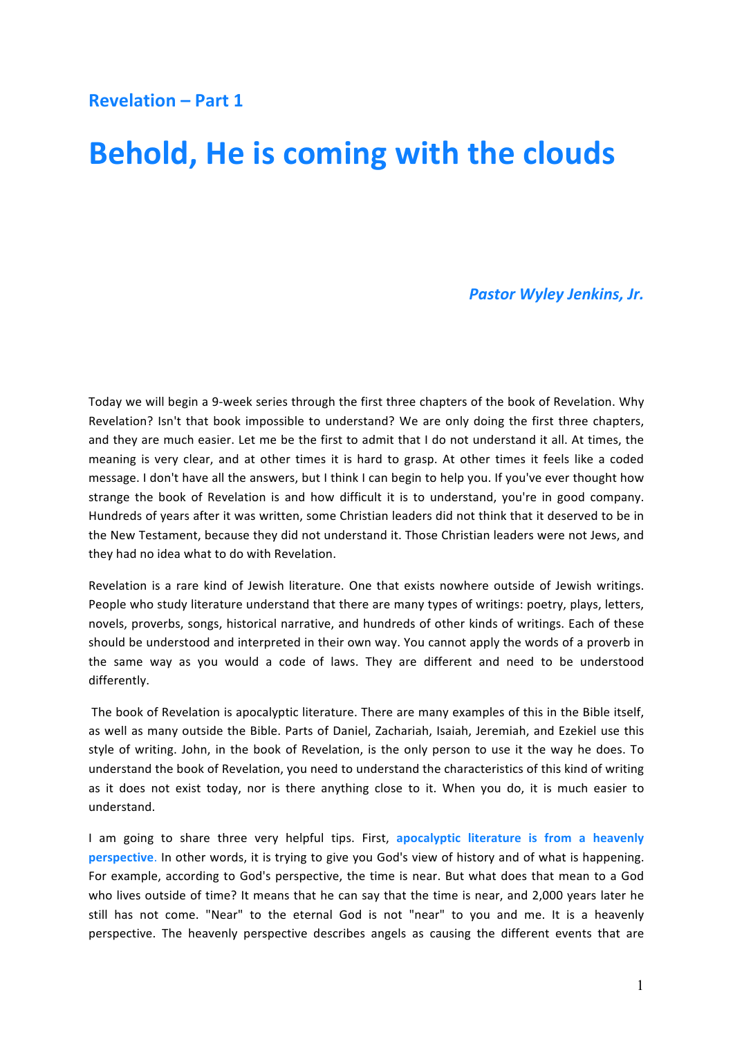# **Behold, He is coming with the clouds**

### **Pastor Wyley Jenkins, Jr.**

Today we will begin a 9-week series through the first three chapters of the book of Revelation. Why Revelation? Isn't that book impossible to understand? We are only doing the first three chapters, and they are much easier. Let me be the first to admit that I do not understand it all. At times, the meaning is very clear, and at other times it is hard to grasp. At other times it feels like a coded message. I don't have all the answers, but I think I can begin to help you. If you've ever thought how strange the book of Revelation is and how difficult it is to understand, you're in good company. Hundreds of years after it was written, some Christian leaders did not think that it deserved to be in the New Testament, because they did not understand it. Those Christian leaders were not Jews, and they had no idea what to do with Revelation.

Revelation is a rare kind of Jewish literature. One that exists nowhere outside of Jewish writings. People who study literature understand that there are many types of writings: poetry, plays, letters, novels, proverbs, songs, historical narrative, and hundreds of other kinds of writings. Each of these should be understood and interpreted in their own way. You cannot apply the words of a proverb in the same way as you would a code of laws. They are different and need to be understood differently.

The book of Revelation is apocalyptic literature. There are many examples of this in the Bible itself, as well as many outside the Bible. Parts of Daniel, Zachariah, Isaiah, Jeremiah, and Ezekiel use this style of writing. John, in the book of Revelation, is the only person to use it the way he does. To understand the book of Revelation, you need to understand the characteristics of this kind of writing as it does not exist today, nor is there anything close to it. When you do, it is much easier to understand. 

I am going to share three very helpful tips. First, apocalyptic literature is from a heavenly **perspective**. In other words, it is trying to give you God's view of history and of what is happening. For example, according to God's perspective, the time is near. But what does that mean to a God who lives outside of time? It means that he can say that the time is near, and 2,000 years later he still has not come. "Near" to the eternal God is not "near" to you and me. It is a heavenly perspective. The heavenly perspective describes angels as causing the different events that are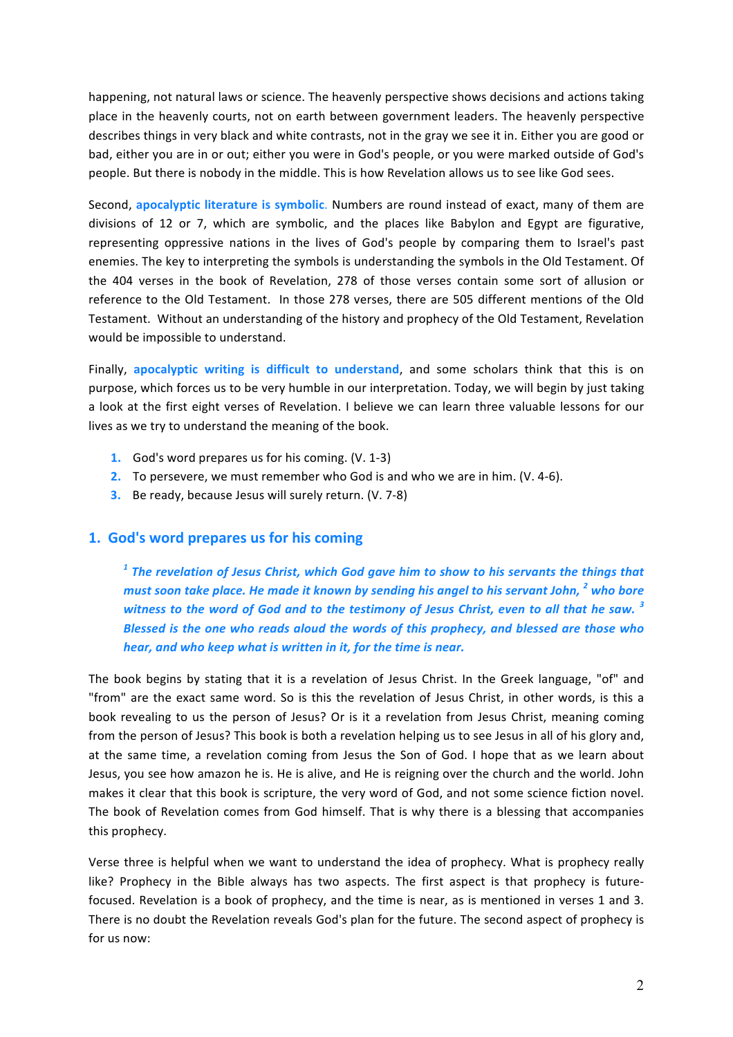happening, not natural laws or science. The heavenly perspective shows decisions and actions taking place in the heavenly courts, not on earth between government leaders. The heavenly perspective describes things in very black and white contrasts, not in the gray we see it in. Either you are good or bad, either you are in or out; either you were in God's people, or you were marked outside of God's people. But there is nobody in the middle. This is how Revelation allows us to see like God sees.

Second, apocalyptic literature is symbolic. Numbers are round instead of exact, many of them are divisions of 12 or 7, which are symbolic, and the places like Babylon and Egypt are figurative, representing oppressive nations in the lives of God's people by comparing them to Israel's past enemies. The key to interpreting the symbols is understanding the symbols in the Old Testament. Of the 404 verses in the book of Revelation, 278 of those verses contain some sort of allusion or reference to the Old Testament. In those 278 verses, there are 505 different mentions of the Old Testament. Without an understanding of the history and prophecy of the Old Testament, Revelation would be impossible to understand.

Finally, **apocalyptic writing is difficult to understand**, and some scholars think that this is on purpose, which forces us to be very humble in our interpretation. Today, we will begin by just taking a look at the first eight verses of Revelation. I believe we can learn three valuable lessons for our lives as we try to understand the meaning of the book.

- **1.** God's word prepares us for his coming. (V. 1-3)
- **2.** To persevere, we must remember who God is and who we are in him. (V. 4-6).
- **3.** Be ready, because Jesus will surely return. (V. 7-8)

#### 1. God's word prepares us for his coming

<sup>1</sup> The revelation of Jesus Christ, which God gave him to show to his servants the things that *must soon take place. He made it known by sending his angel to his servant John,* <sup>2</sup> who bore *witness to the word of God and to the testimony of Jesus Christ, even to all that he saw.* <sup>3</sup> *Blessed is the one who reads aloud the words of this prophecy, and blessed are those who hear, and who keep what is written in it, for the time is near.* 

The book begins by stating that it is a revelation of Jesus Christ. In the Greek language, "of" and "from" are the exact same word. So is this the revelation of Jesus Christ, in other words, is this a book revealing to us the person of Jesus? Or is it a revelation from Jesus Christ, meaning coming from the person of Jesus? This book is both a revelation helping us to see Jesus in all of his glory and, at the same time, a revelation coming from Jesus the Son of God. I hope that as we learn about Jesus, you see how amazon he is. He is alive, and He is reigning over the church and the world. John makes it clear that this book is scripture, the very word of God, and not some science fiction novel. The book of Revelation comes from God himself. That is why there is a blessing that accompanies this prophecy.

Verse three is helpful when we want to understand the idea of prophecy. What is prophecy really like? Prophecy in the Bible always has two aspects. The first aspect is that prophecy is futurefocused. Revelation is a book of prophecy, and the time is near, as is mentioned in verses 1 and 3. There is no doubt the Revelation reveals God's plan for the future. The second aspect of prophecy is for us now: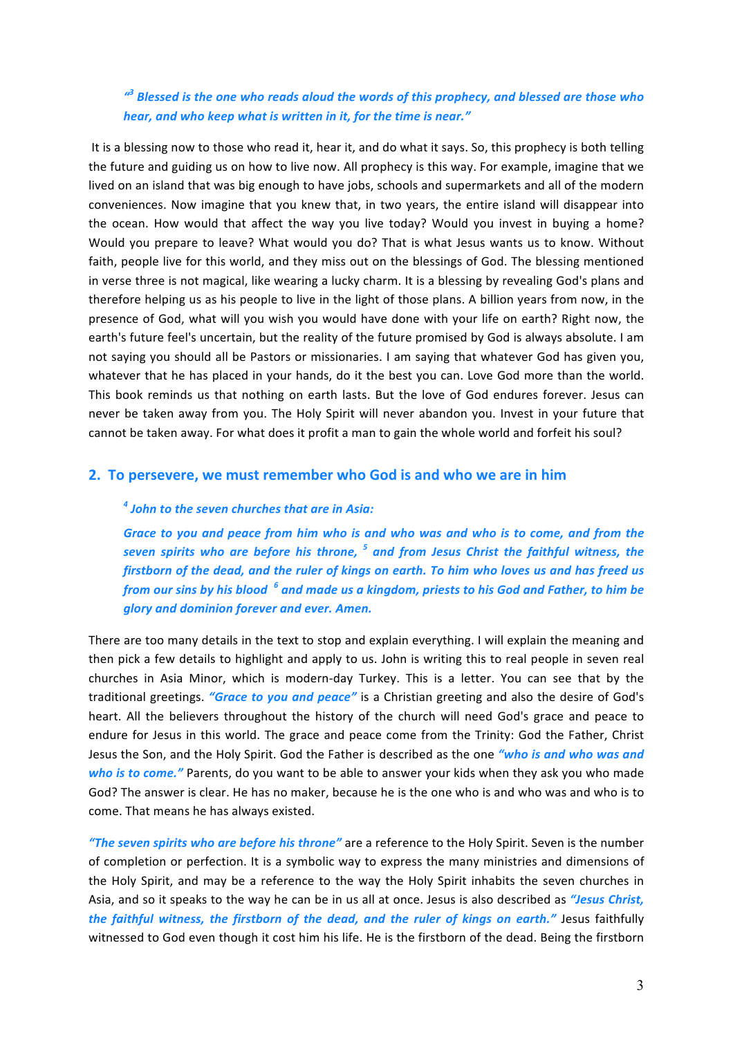# $''$ <sup>3</sup> Blessed is the one who reads aloud the words of this prophecy, and blessed are those who *hear, and who keep what is written in it, for the time is near."*

It is a blessing now to those who read it, hear it, and do what it says. So, this prophecy is both telling the future and guiding us on how to live now. All prophecy is this way. For example, imagine that we lived on an island that was big enough to have jobs, schools and supermarkets and all of the modern conveniences. Now imagine that you knew that, in two years, the entire island will disappear into the ocean. How would that affect the way you live today? Would you invest in buying a home? Would you prepare to leave? What would you do? That is what Jesus wants us to know. Without faith, people live for this world, and they miss out on the blessings of God. The blessing mentioned in verse three is not magical, like wearing a lucky charm. It is a blessing by revealing God's plans and therefore helping us as his people to live in the light of those plans. A billion years from now, in the presence of God, what will you wish you would have done with your life on earth? Right now, the earth's future feel's uncertain, but the reality of the future promised by God is always absolute. I am not saying you should all be Pastors or missionaries. I am saying that whatever God has given you, whatever that he has placed in your hands, do it the best you can. Love God more than the world. This book reminds us that nothing on earth lasts. But the love of God endures forever. Jesus can never be taken away from you. The Holy Spirit will never abandon you. Invest in your future that cannot be taken away. For what does it profit a man to gain the whole world and forfeit his soul?

#### **2.** To persevere, we must remember who God is and who we are in him

#### <sup>4</sup> John to the seven churches that are in Asia:

Grace to you and peace from him who is and who was and who is to come, and from the *seven spirits* who are before his throne, <sup>5</sup> and from Jesus Christ the faithful witness, the *firstborn* of the dead, and the ruler of kings on earth. To him who loves us and has freed us *from our sins by his blood*  $^6$  and made us a kingdom, priests to his God and Father, to him be *glory and dominion forever and ever. Amen.*

There are too many details in the text to stop and explain everything. I will explain the meaning and then pick a few details to highlight and apply to us. John is writing this to real people in seven real churches in Asia Minor, which is modern-day Turkey. This is a letter. You can see that by the traditional greetings. "Grace to you and peace" is a Christian greeting and also the desire of God's heart. All the believers throughout the history of the church will need God's grace and peace to endure for Jesus in this world. The grace and peace come from the Trinity: God the Father, Christ Jesus the Son, and the Holy Spirit. God the Father is described as the one "who is and who was and *who is to come."* Parents, do you want to be able to answer your kids when they ask you who made God? The answer is clear. He has no maker, because he is the one who is and who was and who is to come. That means he has always existed.

*"The seven spirits who are before his throne"* are a reference to the Holy Spirit. Seven is the number of completion or perfection. It is a symbolic way to express the many ministries and dimensions of the Holy Spirit, and may be a reference to the way the Holy Spirit inhabits the seven churches in Asia, and so it speaks to the way he can be in us all at once. Jesus is also described as *"Jesus Christ*, *the faithful witness, the firstborn of the dead, and the ruler of kings on earth."* Jesus faithfully witnessed to God even though it cost him his life. He is the firstborn of the dead. Being the firstborn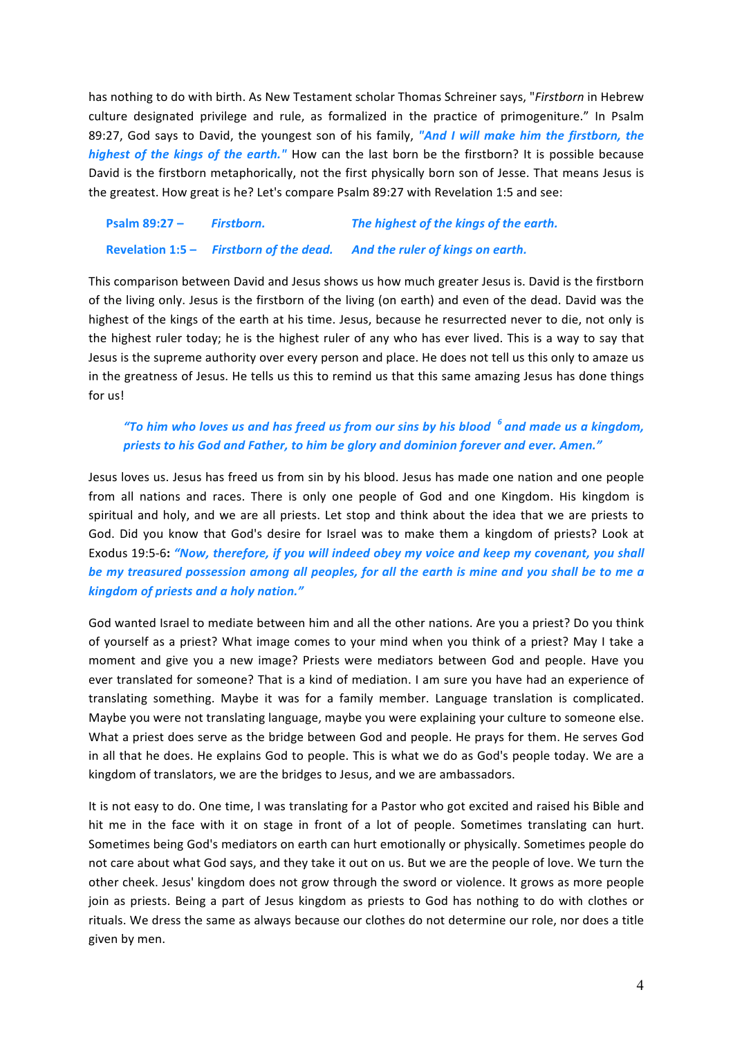has nothing to do with birth. As New Testament scholar Thomas Schreiner says, "Firstborn in Hebrew culture designated privilege and rule, as formalized in the practice of primogeniture." In Psalm 89:27, God says to David, the youngest son of his family, "And I will make him the firstborn, the *highest of the kings of the earth."* How can the last born be the firstborn? It is possible because David is the firstborn metaphorically, not the first physically born son of Jesse. That means Jesus is the greatest. How great is he? Let's compare Psalm 89:27 with Revelation 1:5 and see:

# **Psalm 89:27** - **Firstborn.** The highest of the kings of the earth. Revelation 1:5 – Firstborn of the dead. And the ruler of kings on earth.

This comparison between David and Jesus shows us how much greater Jesus is. David is the firstborn of the living only. Jesus is the firstborn of the living (on earth) and even of the dead. David was the highest of the kings of the earth at his time. Jesus, because he resurrected never to die, not only is the highest ruler today; he is the highest ruler of any who has ever lived. This is a way to say that Jesus is the supreme authority over every person and place. He does not tell us this only to amaze us in the greatness of Jesus. He tells us this to remind us that this same amazing Jesus has done things for us!

# *"To him who loves us and has freed us from our sins by his blood*  $^6$  and made us a kingdom, priests to his God and Father, to him be glory and dominion forever and ever. Amen."

Jesus loves us. Jesus has freed us from sin by his blood. Jesus has made one nation and one people from all nations and races. There is only one people of God and one Kingdom. His kingdom is spiritual and holy, and we are all priests. Let stop and think about the idea that we are priests to God. Did you know that God's desire for Israel was to make them a kingdom of priests? Look at Exodus 19:5-6: *"Now, therefore, if you will indeed obey my voice and keep my covenant, you shall be my treasured possession among all peoples, for all the earth is mine and you shall be to me a kingdom of priests and a holy nation."*

God wanted Israel to mediate between him and all the other nations. Are you a priest? Do you think of yourself as a priest? What image comes to your mind when you think of a priest? May I take a moment and give you a new image? Priests were mediators between God and people. Have you ever translated for someone? That is a kind of mediation. I am sure you have had an experience of translating something. Maybe it was for a family member. Language translation is complicated. Maybe you were not translating language, maybe you were explaining your culture to someone else. What a priest does serve as the bridge between God and people. He prays for them. He serves God in all that he does. He explains God to people. This is what we do as God's people today. We are a kingdom of translators, we are the bridges to Jesus, and we are ambassadors.

It is not easy to do. One time, I was translating for a Pastor who got excited and raised his Bible and hit me in the face with it on stage in front of a lot of people. Sometimes translating can hurt. Sometimes being God's mediators on earth can hurt emotionally or physically. Sometimes people do not care about what God says, and they take it out on us. But we are the people of love. We turn the other cheek. Jesus' kingdom does not grow through the sword or violence. It grows as more people join as priests. Being a part of Jesus kingdom as priests to God has nothing to do with clothes or rituals. We dress the same as always because our clothes do not determine our role, nor does a title given by men.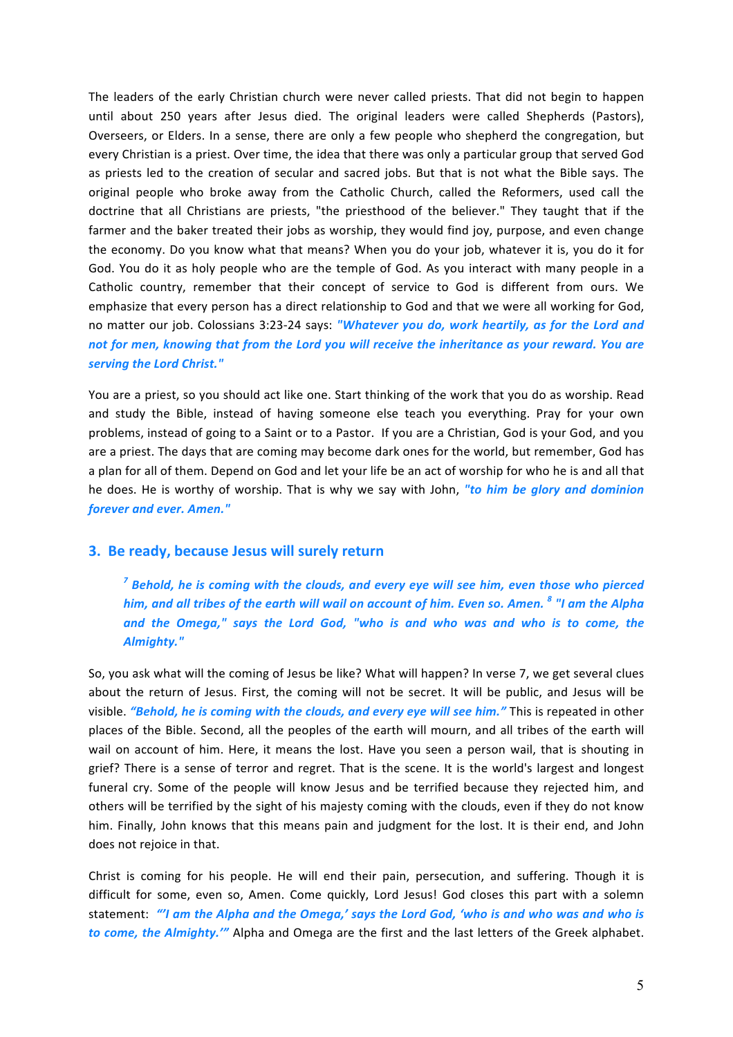The leaders of the early Christian church were never called priests. That did not begin to happen until about 250 years after Jesus died. The original leaders were called Shepherds (Pastors), Overseers, or Elders. In a sense, there are only a few people who shepherd the congregation, but every Christian is a priest. Over time, the idea that there was only a particular group that served God as priests led to the creation of secular and sacred jobs. But that is not what the Bible says. The original people who broke away from the Catholic Church, called the Reformers, used call the doctrine that all Christians are priests, "the priesthood of the believer." They taught that if the farmer and the baker treated their jobs as worship, they would find joy, purpose, and even change the economy. Do you know what that means? When you do your job, whatever it is, you do it for God. You do it as holy people who are the temple of God. As you interact with many people in a Catholic country, remember that their concept of service to God is different from ours. We emphasize that every person has a direct relationship to God and that we were all working for God, no matter our job. Colossians 3:23-24 says: "Whatever you do, work heartily, as for the Lord and not for men, knowing that from the Lord you will receive the inheritance as your reward. You are *serving the Lord Christ."*

You are a priest, so you should act like one. Start thinking of the work that you do as worship. Read and study the Bible, instead of having someone else teach you everything. Pray for your own problems, instead of going to a Saint or to a Pastor. If you are a Christian, God is your God, and you are a priest. The days that are coming may become dark ones for the world, but remember, God has a plan for all of them. Depend on God and let your life be an act of worship for who he is and all that he does. He is worthy of worship. That is why we say with John, "to him be glory and dominion *forever and ever. Amen."* 

## **3. Be ready, because Jesus will surely return**

<sup>7</sup> Behold, he is coming with the clouds, and every eye will see him, even those who pierced *him, and all tribes of the earth will wail on account of him. Even so. Amen.* <sup>8</sup> "I am the Alpha and the Omega," says the Lord God, "who is and who was and who is to come, the *Almighty."*

So, you ask what will the coming of Jesus be like? What will happen? In verse 7, we get several clues about the return of Jesus. First, the coming will not be secret. It will be public, and Jesus will be visible. "Behold, he is coming with the clouds, and every eye will see him." This is repeated in other places of the Bible. Second, all the peoples of the earth will mourn, and all tribes of the earth will wail on account of him. Here, it means the lost. Have you seen a person wail, that is shouting in grief? There is a sense of terror and regret. That is the scene. It is the world's largest and longest funeral cry. Some of the people will know Jesus and be terrified because they rejected him, and others will be terrified by the sight of his majesty coming with the clouds, even if they do not know him. Finally, John knows that this means pain and judgment for the lost. It is their end, and John does not rejoice in that.

Christ is coming for his people. He will end their pain, persecution, and suffering. Though it is difficult for some, even so, Amen. Come quickly, Lord Jesus! God closes this part with a solemn statement: "I am the Alpha and the Omega,' says the Lord God, 'who is and who was and who is *to come, the Almighty.'"* Alpha and Omega are the first and the last letters of the Greek alphabet.